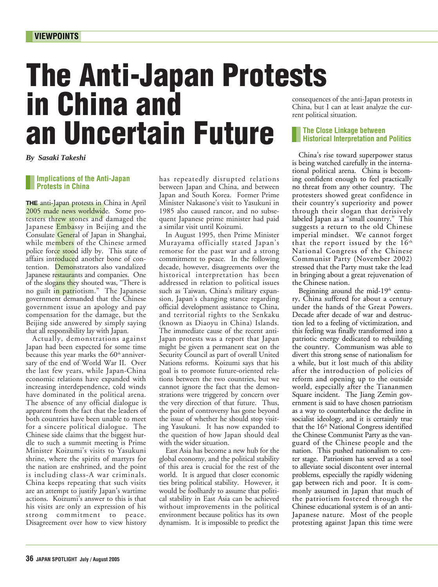# The Anti-Japan Protests in China and an Uncertain Future

*By Sasaki Takeshi*

#### **Implications of the Anti-Japan Protests in China**

THE anti-Japan protests in Call of the anti-Japan protests in 2005 made news worldwide<br>testers threw stones and<br>Japanese Embassy in Bei<br>Consulate General of Japan<br>while members of the Cl<br>police force stood idly by.<br>affairs **THE** anti-Japan protests in China in April 2005 made news worldwide. Some protesters threw stones and damaged the Japanese Embassy in Beijing and the Consulate General of Japan in Shanghai, while members of the Chinese armed police force stood idly by. This state of affairs introduced another bone of contention. Demonstrators also vandalized Japanese restaurants and companies. One of the slogans they shouted was, "There is no guilt in patriotism." The Japanese government demanded that the Chinese government issue an apology and pay compensation for the damage, but the Beijing side answered by simply saying that all responsibility lay with Japan.

Actually, demonstrations against Japan had been expected for some time because this year marks the 60<sup>th</sup> anniversary of the end of World War II. Over the last few years, while Japan-China economic relations have expanded with increasing interdependence, cold winds have dominated in the political arena. The absence of any official dialogue is apparent from the fact that the leaders of both countries have been unable to meet for a sincere political dialogue. The Chinese side claims that the biggest hurdle to such a summit meeting is Prime Minister Koizumi's visits to Yasukuni shrine, where the spirits of martyrs for the nation are enshrined, and the point is including class-A war criminals. China keeps repeating that such visits are an attempt to justify Japan's wartime actions. Koizumi's answer to this is that his visits are only an expression of his strong commitment to peace. Disagreement over how to view history

has repeatedly disrupted relations between Japan and China, and between Japan and South Korea. Former Prime Minister Nakasone's visit to Yasukuni in 1985 also caused rancor, and no subsequent Japanese prime minister had paid a similar visit until Koizumi.

In August 1995, then Prime Minister Murayama officially stated Japan's remorse for the past war and a strong commitment to peace. In the following decade, however, disagreements over the historical interpretation has been addressed in relation to political issues such as Taiwan, China's military expansion, Japan's changing stance regarding official development assistance to China, and territorial rights to the Senkaku (known as Diaoyu in China) Islands. The immediate cause of the recent anti-Japan protests was a report that Japan might be given a permanent seat on the Security Council as part of overall United Nations reforms. Koizumi says that his goal is to promote future-oriented relations between the two countries, but we cannot ignore the fact that the demonstrations were triggered by concern over the very direction of that future. Thus, the point of controversy has gone beyond the issue of whether he should stop visiting Yasukuni. It has now expanded to the question of how Japan should deal with the wider situation.

East Asia has become a new hub for the global economy, and the political stability of this area is crucial for the rest of the world. It is argued that closer economic ties bring political stability. However, it would be foolhardy to assume that political stability in East Asia can be achieved without improvements in the political environment because politics has its own dynamism. It is impossible to predict the consequences of the anti-Japan protests in China, but I can at least analyze the current political situation.

### **The Close Linkage between Historical Interpretation and Politics**

China's rise toward superpower status is being watched carefully in the international political arena. China is becoming confident enough to feel practically no threat from any other country. The protesters showed great confidence in their country's superiority and power through their slogan that derisively labeled Japan as a "small country." This suggests a return to the old Chinese imperial mindset. We cannot forget that the report issued by the  $16<sup>th</sup>$ National Congress of the Chinese Communist Party (November 2002) stressed that the Party must take the lead in bringing about a great rejuvenation of the Chinese nation.

Beginning around the mid- $19<sup>th</sup>$  century, China suffered for about a century under the hands of the Great Powers. Decade after decade of war and destruction led to a feeling of victimization, and this feeling was finally transformed into a patriotic energy dedicated to rebuilding the country. Communism was able to divert this strong sense of nationalism for a while, but it lost much of this ability after the introduction of policies of reform and opening up to the outside world, especially after the Tiananmen Square incident. The Jiang Zemin government is said to have chosen patriotism as a way to counterbalance the decline in socialist ideology, and it is certainly true that the 16<sup>th</sup> National Congress identified the Chinese Communist Party as the vanguard of the Chinese people and the nation. This pushed nationalism to center stage. Patriotism has served as a tool to alleviate social discontent over internal problems, especially the rapidly widening gap between rich and poor. It is commonly assumed in Japan that much of the patriotism fostered through the Chinese educational system is of an anti-Japanese nature. Most of the people protesting against Japan this time were